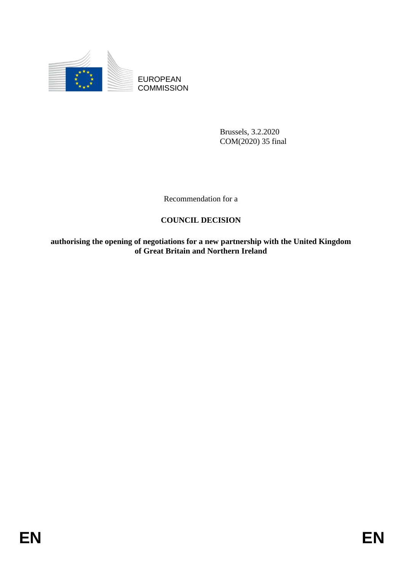

EUROPEAN **COMMISSION** 

> Brussels, 3.2.2020 COM(2020) 35 final

Recommendation for a

# **COUNCIL DECISION**

**authorising the opening of negotiations for a new partnership with the United Kingdom of Great Britain and Northern Ireland**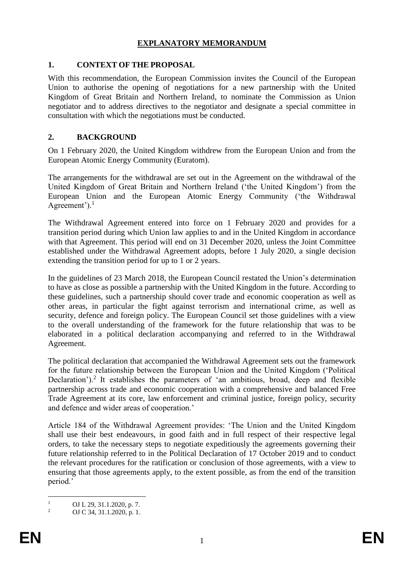# **EXPLANATORY MEMORANDUM**

### **1. CONTEXT OF THE PROPOSAL**

With this recommendation, the European Commission invites the Council of the European Union to authorise the opening of negotiations for a new partnership with the United Kingdom of Great Britain and Northern Ireland, to nominate the Commission as Union negotiator and to address directives to the negotiator and designate a special committee in consultation with which the negotiations must be conducted.

### **2. BACKGROUND**

On 1 February 2020, the United Kingdom withdrew from the European Union and from the European Atomic Energy Community (Euratom).

The arrangements for the withdrawal are set out in the Agreement on the withdrawal of the United Kingdom of Great Britain and Northern Ireland ('the United Kingdom') from the European Union and the European Atomic Energy Community ('the Withdrawal Agreement'). $<sup>1</sup>$ </sup>

The Withdrawal Agreement entered into force on 1 February 2020 and provides for a transition period during which Union law applies to and in the United Kingdom in accordance with that Agreement. This period will end on 31 December 2020, unless the Joint Committee established under the Withdrawal Agreement adopts, before 1 July 2020, a single decision extending the transition period for up to 1 or 2 years.

In the guidelines of 23 March 2018, the European Council restated the Union's determination to have as close as possible a partnership with the United Kingdom in the future. According to these guidelines, such a partnership should cover trade and economic cooperation as well as other areas, in particular the fight against terrorism and international crime, as well as security, defence and foreign policy. The European Council set those guidelines with a view to the overall understanding of the framework for the future relationship that was to be elaborated in a political declaration accompanying and referred to in the Withdrawal Agreement.

The political declaration that accompanied the Withdrawal Agreement sets out the framework for the future relationship between the European Union and the United Kingdom ('Political Declaration').<sup>2</sup> It establishes the parameters of 'an ambitious, broad, deep and flexible partnership across trade and economic cooperation with a comprehensive and balanced Free Trade Agreement at its core, law enforcement and criminal justice, foreign policy, security and defence and wider areas of cooperation.'

Article 184 of the Withdrawal Agreement provides: 'The Union and the United Kingdom shall use their best endeavours, in good faith and in full respect of their respective legal orders, to take the necessary steps to negotiate expeditiously the agreements governing their future relationship referred to in the Political Declaration of 17 October 2019 and to conduct the relevant procedures for the ratification or conclusion of those agreements, with a view to ensuring that those agreements apply, to the extent possible, as from the end of the transition period.'

 $\mathbf{1}$  $\frac{1}{2}$  OJ L 29, 31.1.2020, p. 7.

<sup>2</sup> OJ C 34, 31.1.2020, p. 1.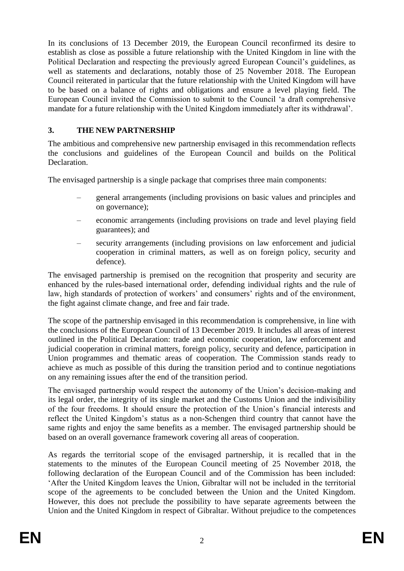In its conclusions of 13 December 2019, the European Council reconfirmed its desire to establish as close as possible a future relationship with the United Kingdom in line with the Political Declaration and respecting the previously agreed European Council's guidelines, as well as statements and declarations, notably those of 25 November 2018. The European Council reiterated in particular that the future relationship with the United Kingdom will have to be based on a balance of rights and obligations and ensure a level playing field. The European Council invited the Commission to submit to the Council 'a draft comprehensive mandate for a future relationship with the United Kingdom immediately after its withdrawal'.

# **3. THE NEW PARTNERSHIP**

The ambitious and comprehensive new partnership envisaged in this recommendation reflects the conclusions and guidelines of the European Council and builds on the Political Declaration.

The envisaged partnership is a single package that comprises three main components:

- general arrangements (including provisions on basic values and principles and on governance);
- economic arrangements (including provisions on trade and level playing field guarantees); and
- security arrangements (including provisions on law enforcement and judicial cooperation in criminal matters, as well as on foreign policy, security and defence).

The envisaged partnership is premised on the recognition that prosperity and security are enhanced by the rules-based international order, defending individual rights and the rule of law, high standards of protection of workers' and consumers' rights and of the environment, the fight against climate change, and free and fair trade.

The scope of the partnership envisaged in this recommendation is comprehensive, in line with the conclusions of the European Council of 13 December 2019. It includes all areas of interest outlined in the Political Declaration: trade and economic cooperation, law enforcement and judicial cooperation in criminal matters, foreign policy, security and defence, participation in Union programmes and thematic areas of cooperation. The Commission stands ready to achieve as much as possible of this during the transition period and to continue negotiations on any remaining issues after the end of the transition period.

The envisaged partnership would respect the autonomy of the Union's decision-making and its legal order, the integrity of its single market and the Customs Union and the indivisibility of the four freedoms. It should ensure the protection of the Union's financial interests and reflect the United Kingdom's status as a non-Schengen third country that cannot have the same rights and enjoy the same benefits as a member. The envisaged partnership should be based on an overall governance framework covering all areas of cooperation.

As regards the territorial scope of the envisaged partnership, it is recalled that in the statements to the minutes of the European Council meeting of 25 November 2018, the following declaration of the European Council and of the Commission has been included: 'After the United Kingdom leaves the Union, Gibraltar will not be included in the territorial scope of the agreements to be concluded between the Union and the United Kingdom. However, this does not preclude the possibility to have separate agreements between the Union and the United Kingdom in respect of Gibraltar. Without prejudice to the competences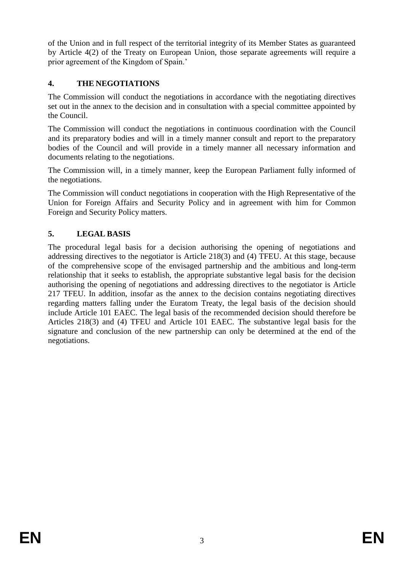of the Union and in full respect of the territorial integrity of its Member States as guaranteed by Article 4(2) of the Treaty on European Union, those separate agreements will require a prior agreement of the Kingdom of Spain.'

# **4. THE NEGOTIATIONS**

The Commission will conduct the negotiations in accordance with the negotiating directives set out in the annex to the decision and in consultation with a special committee appointed by the Council.

The Commission will conduct the negotiations in continuous coordination with the Council and its preparatory bodies and will in a timely manner consult and report to the preparatory bodies of the Council and will provide in a timely manner all necessary information and documents relating to the negotiations.

The Commission will, in a timely manner, keep the European Parliament fully informed of the negotiations.

The Commission will conduct negotiations in cooperation with the High Representative of the Union for Foreign Affairs and Security Policy and in agreement with him for Common Foreign and Security Policy matters.

# **5. LEGAL BASIS**

The procedural legal basis for a decision authorising the opening of negotiations and addressing directives to the negotiator is Article 218(3) and (4) TFEU. At this stage, because of the comprehensive scope of the envisaged partnership and the ambitious and long-term relationship that it seeks to establish, the appropriate substantive legal basis for the decision authorising the opening of negotiations and addressing directives to the negotiator is Article 217 TFEU. In addition, insofar as the annex to the decision contains negotiating directives regarding matters falling under the Euratom Treaty, the legal basis of the decision should include Article 101 EAEC. The legal basis of the recommended decision should therefore be Articles 218(3) and (4) TFEU and Article 101 EAEC. The substantive legal basis for the signature and conclusion of the new partnership can only be determined at the end of the negotiations.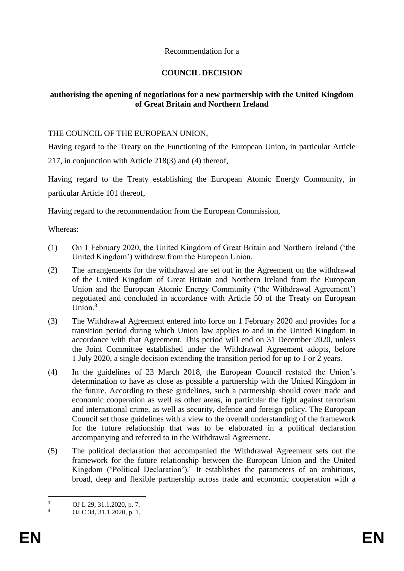### Recommendation for a

# **COUNCIL DECISION**

# **authorising the opening of negotiations for a new partnership with the United Kingdom of Great Britain and Northern Ireland**

### THE COUNCIL OF THE EUROPEAN UNION,

Having regard to the Treaty on the Functioning of the European Union, in particular Article 217, in conjunction with Article 218(3) and (4) thereof,

Having regard to the Treaty establishing the European Atomic Energy Community, in particular Article 101 thereof,

Having regard to the recommendation from the European Commission,

Whereas:

- (1) On 1 February 2020, the United Kingdom of Great Britain and Northern Ireland ('the United Kingdom') withdrew from the European Union.
- (2) The arrangements for the withdrawal are set out in the Agreement on the withdrawal of the United Kingdom of Great Britain and Northern Ireland from the European Union and the European Atomic Energy Community ('the Withdrawal Agreement') negotiated and concluded in accordance with Article 50 of the Treaty on European Union $3$
- (3) The Withdrawal Agreement entered into force on 1 February 2020 and provides for a transition period during which Union law applies to and in the United Kingdom in accordance with that Agreement. This period will end on 31 December 2020, unless the Joint Committee established under the Withdrawal Agreement adopts, before 1 July 2020, a single decision extending the transition period for up to 1 or 2 years.
- (4) In the guidelines of 23 March 2018, the European Council restated the Union's determination to have as close as possible a partnership with the United Kingdom in the future. According to these guidelines, such a partnership should cover trade and economic cooperation as well as other areas, in particular the fight against terrorism and international crime, as well as security, defence and foreign policy. The European Council set those guidelines with a view to the overall understanding of the framework for the future relationship that was to be elaborated in a political declaration accompanying and referred to in the Withdrawal Agreement.
- (5) The political declaration that accompanied the Withdrawal Agreement sets out the framework for the future relationship between the European Union and the United Kingdom ('Political Declaration').<sup>4</sup> It establishes the parameters of an ambitious, broad, deep and flexible partnership across trade and economic cooperation with a

 $\overline{\mathbf{3}}$  $\frac{3}{4}$  OJ L 29, 31.1.2020, p. 7.

OJ C 34, 31.1.2020, p. 1.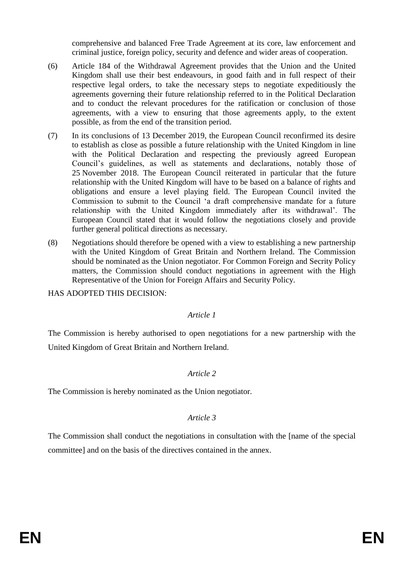comprehensive and balanced Free Trade Agreement at its core, law enforcement and criminal justice, foreign policy, security and defence and wider areas of cooperation.

- (6) Article 184 of the Withdrawal Agreement provides that the Union and the United Kingdom shall use their best endeavours, in good faith and in full respect of their respective legal orders, to take the necessary steps to negotiate expeditiously the agreements governing their future relationship referred to in the Political Declaration and to conduct the relevant procedures for the ratification or conclusion of those agreements, with a view to ensuring that those agreements apply, to the extent possible, as from the end of the transition period.
- (7) In its conclusions of 13 December 2019, the European Council reconfirmed its desire to establish as close as possible a future relationship with the United Kingdom in line with the Political Declaration and respecting the previously agreed European Council's guidelines, as well as statements and declarations, notably those of 25 November 2018. The European Council reiterated in particular that the future relationship with the United Kingdom will have to be based on a balance of rights and obligations and ensure a level playing field. The European Council invited the Commission to submit to the Council 'a draft comprehensive mandate for a future relationship with the United Kingdom immediately after its withdrawal'. The European Council stated that it would follow the negotiations closely and provide further general political directions as necessary.
- (8) Negotiations should therefore be opened with a view to establishing a new partnership with the United Kingdom of Great Britain and Northern Ireland. The Commission should be nominated as the Union negotiator. For Common Foreign and Secrity Policy matters, the Commission should conduct negotiations in agreement with the High Representative of the Union for Foreign Affairs and Security Policy.

HAS ADOPTED THIS DECISION:

#### *Article 1*

The Commission is hereby authorised to open negotiations for a new partnership with the United Kingdom of Great Britain and Northern Ireland.

# *Article 2*

The Commission is hereby nominated as the Union negotiator.

# *Article 3*

The Commission shall conduct the negotiations in consultation with the [name of the special committee] and on the basis of the directives contained in the annex.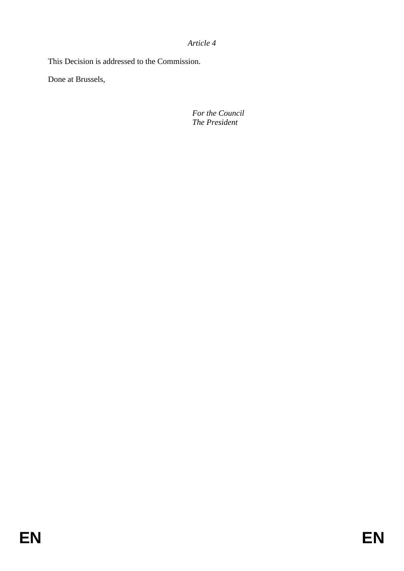*Article 4*

This Decision is addressed to the Commission.

Done at Brussels,

*For the Council The President*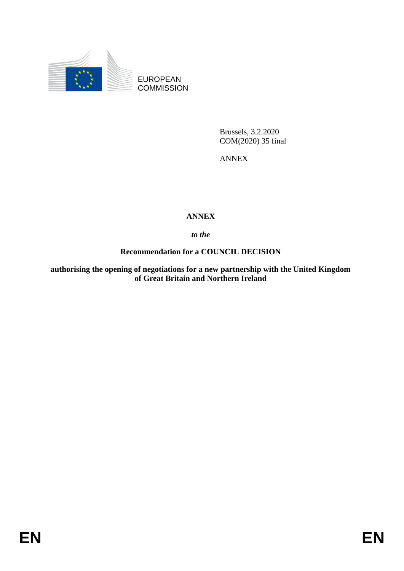

EUROPEAN **COMMISSION** 

> Brussels, 3.2.2020 COM(2020) 35 final

ANNEX

# **ANNEX**

*to the* 

**Recommendation for a COUNCIL DECISION**

**authorising the opening of negotiations for a new partnership with the United Kingdom of Great Britain and Northern Ireland**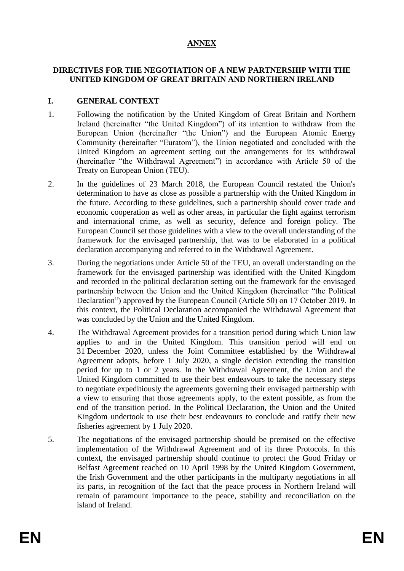# **ANNEX**

### **DIRECTIVES FOR THE NEGOTIATION OF A NEW PARTNERSHIP WITH THE UNITED KINGDOM OF GREAT BRITAIN AND NORTHERN IRELAND**

### **I. GENERAL CONTEXT**

- 1. Following the notification by the United Kingdom of Great Britain and Northern Ireland (hereinafter "the United Kingdom") of its intention to withdraw from the European Union (hereinafter "the Union") and the European Atomic Energy Community (hereinafter "Euratom"), the Union negotiated and concluded with the United Kingdom an agreement setting out the arrangements for its withdrawal (hereinafter "the Withdrawal Agreement") in accordance with Article 50 of the Treaty on European Union (TEU).
- 2. In the guidelines of 23 March 2018, the European Council restated the Union's determination to have as close as possible a partnership with the United Kingdom in the future. According to these guidelines, such a partnership should cover trade and economic cooperation as well as other areas, in particular the fight against terrorism and international crime, as well as security, defence and foreign policy. The European Council set those guidelines with a view to the overall understanding of the framework for the envisaged partnership, that was to be elaborated in a political declaration accompanying and referred to in the Withdrawal Agreement.
- 3. During the negotiations under Article 50 of the TEU, an overall understanding on the framework for the envisaged partnership was identified with the United Kingdom and recorded in the political declaration setting out the framework for the envisaged partnership between the Union and the United Kingdom (hereinafter "the Political Declaration") approved by the European Council (Article 50) on 17 October 2019. In this context, the Political Declaration accompanied the Withdrawal Agreement that was concluded by the Union and the United Kingdom.
- 4. The Withdrawal Agreement provides for a transition period during which Union law applies to and in the United Kingdom. This transition period will end on 31 December 2020, unless the Joint Committee established by the Withdrawal Agreement adopts, before 1 July 2020, a single decision extending the transition period for up to 1 or 2 years. In the Withdrawal Agreement, the Union and the United Kingdom committed to use their best endeavours to take the necessary steps to negotiate expeditiously the agreements governing their envisaged partnership with a view to ensuring that those agreements apply, to the extent possible, as from the end of the transition period. In the Political Declaration, the Union and the United Kingdom undertook to use their best endeavours to conclude and ratify their new fisheries agreement by 1 July 2020.
- 5. The negotiations of the envisaged partnership should be premised on the effective implementation of the Withdrawal Agreement and of its three Protocols. In this context, the envisaged partnership should continue to protect the Good Friday or Belfast Agreement reached on 10 April 1998 by the United Kingdom Government, the Irish Government and the other participants in the multiparty negotiations in all its parts, in recognition of the fact that the peace process in Northern Ireland will remain of paramount importance to the peace, stability and reconciliation on the island of Ireland.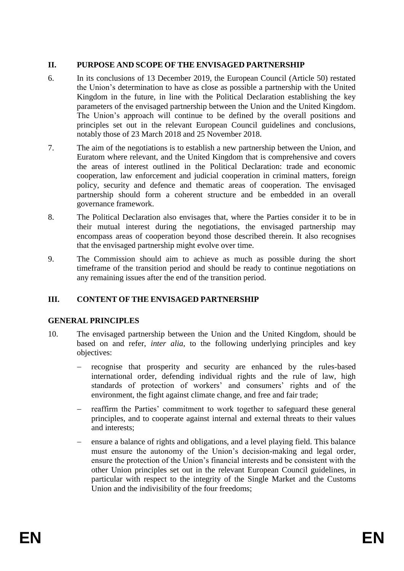### **II. PURPOSE AND SCOPE OF THE ENVISAGED PARTNERSHIP**

- 6. In its conclusions of 13 December 2019, the European Council (Article 50) restated the Union's determination to have as close as possible a partnership with the United Kingdom in the future, in line with the Political Declaration establishing the key parameters of the envisaged partnership between the Union and the United Kingdom. The Union's approach will continue to be defined by the overall positions and principles set out in the relevant European Council guidelines and conclusions, notably those of 23 March 2018 and 25 November 2018.
- 7. The aim of the negotiations is to establish a new partnership between the Union, and Euratom where relevant, and the United Kingdom that is comprehensive and covers the areas of interest outlined in the Political Declaration: trade and economic cooperation, law enforcement and judicial cooperation in criminal matters, foreign policy, security and defence and thematic areas of cooperation. The envisaged partnership should form a coherent structure and be embedded in an overall governance framework.
- 8. The Political Declaration also envisages that, where the Parties consider it to be in their mutual interest during the negotiations, the envisaged partnership may encompass areas of cooperation beyond those described therein. It also recognises that the envisaged partnership might evolve over time.
- 9. The Commission should aim to achieve as much as possible during the short timeframe of the transition period and should be ready to continue negotiations on any remaining issues after the end of the transition period.

# **III. CONTENT OF THE ENVISAGED PARTNERSHIP**

# **GENERAL PRINCIPLES**

- 10. The envisaged partnership between the Union and the United Kingdom, should be based on and refer, *inter alia*, to the following underlying principles and key objectives:
	- recognise that prosperity and security are enhanced by the rules-based international order, defending individual rights and the rule of law, high standards of protection of workers' and consumers' rights and of the environment, the fight against climate change, and free and fair trade;
	- reaffirm the Parties' commitment to work together to safeguard these general principles, and to cooperate against internal and external threats to their values and interests;
	- ensure a balance of rights and obligations, and a level playing field. This balance must ensure the autonomy of the Union's decision-making and legal order, ensure the protection of the Union's financial interests and be consistent with the other Union principles set out in the relevant European Council guidelines, in particular with respect to the integrity of the Single Market and the Customs Union and the indivisibility of the four freedoms;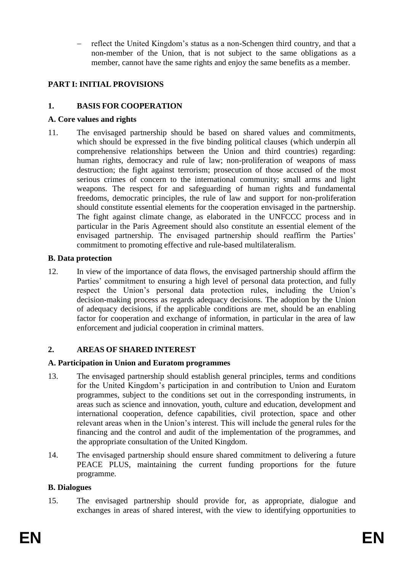reflect the United Kingdom's status as a non-Schengen third country, and that a non-member of the Union, that is not subject to the same obligations as a member, cannot have the same rights and enjoy the same benefits as a member.

# **PART I: INITIAL PROVISIONS**

# **1. BASIS FOR COOPERATION**

### **A. Core values and rights**

11. The envisaged partnership should be based on shared values and commitments, which should be expressed in the five binding political clauses (which underpin all comprehensive relationships between the Union and third countries) regarding: human rights, democracy and rule of law; non-proliferation of weapons of mass destruction; the fight against terrorism; prosecution of those accused of the most serious crimes of concern to the international community; small arms and light weapons. The respect for and safeguarding of human rights and fundamental freedoms, democratic principles, the rule of law and support for non-proliferation should constitute essential elements for the cooperation envisaged in the partnership. The fight against climate change, as elaborated in the UNFCCC process and in particular in the Paris Agreement should also constitute an essential element of the envisaged partnership. The envisaged partnership should reaffirm the Parties' commitment to promoting effective and rule-based multilateralism.

### **B. Data protection**

12. In view of the importance of data flows, the envisaged partnership should affirm the Parties' commitment to ensuring a high level of personal data protection, and fully respect the Union's personal data protection rules, including the Union's decision-making process as regards adequacy decisions. The adoption by the Union of adequacy decisions, if the applicable conditions are met, should be an enabling factor for cooperation and exchange of information, in particular in the area of law enforcement and judicial cooperation in criminal matters.

# **2. AREAS OF SHARED INTEREST**

# **A. Participation in Union and Euratom programmes**

- 13. The envisaged partnership should establish general principles, terms and conditions for the United Kingdom's participation in and contribution to Union and Euratom programmes, subject to the conditions set out in the corresponding instruments, in areas such as science and innovation, youth, culture and education, development and international cooperation, defence capabilities, civil protection, space and other relevant areas when in the Union's interest. This will include the general rules for the financing and the control and audit of the implementation of the programmes, and the appropriate consultation of the United Kingdom.
- 14. The envisaged partnership should ensure shared commitment to delivering a future PEACE PLUS, maintaining the current funding proportions for the future programme.

#### **B. Dialogues**

15. The envisaged partnership should provide for, as appropriate, dialogue and exchanges in areas of shared interest, with the view to identifying opportunities to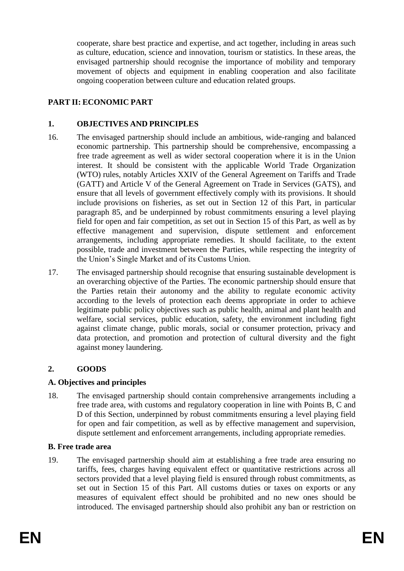cooperate, share best practice and expertise, and act together, including in areas such as culture, education, science and innovation, tourism or statistics. In these areas, the envisaged partnership should recognise the importance of mobility and temporary movement of objects and equipment in enabling cooperation and also facilitate ongoing cooperation between culture and education related groups.

# **PART II: ECONOMIC PART**

### **1. OBJECTIVES AND PRINCIPLES**

- 16. The envisaged partnership should include an ambitious, wide-ranging and balanced economic partnership. This partnership should be comprehensive, encompassing a free trade agreement as well as wider sectoral cooperation where it is in the Union interest. It should be consistent with the applicable World Trade Organization (WTO) rules, notably Articles XXIV of the General Agreement on Tariffs and Trade (GATT) and Article V of the General Agreement on Trade in Services (GATS), and ensure that all levels of government effectively comply with its provisions. It should include provisions on fisheries, as set out in Section 12 of this Part, in particular paragraph [85,](#page-20-0) and be underpinned by robust commitments ensuring a level playing field for open and fair competition, as set out in Section 15 of this Part, as well as by effective management and supervision, dispute settlement and enforcement arrangements, including appropriate remedies. It should facilitate, to the extent possible, trade and investment between the Parties, while respecting the integrity of the Union's Single Market and of its Customs Union.
- 17. The envisaged partnership should recognise that ensuring sustainable development is an overarching objective of the Parties. The economic partnership should ensure that the Parties retain their autonomy and the ability to regulate economic activity according to the levels of protection each deems appropriate in order to achieve legitimate public policy objectives such as public health, animal and plant health and welfare, social services, public education, safety, the environment including fight against climate change, public morals, social or consumer protection, privacy and data protection, and promotion and protection of cultural diversity and the fight against money laundering.

# **2. GOODS**

# **A. Objectives and principles**

18. The envisaged partnership should contain comprehensive arrangements including a free trade area, with customs and regulatory cooperation in line with Points B, C and D of this Section, underpinned by robust commitments ensuring a level playing field for open and fair competition, as well as by effective management and supervision, dispute settlement and enforcement arrangements, including appropriate remedies.

#### **B. Free trade area**

19. The envisaged partnership should aim at establishing a free trade area ensuring no tariffs, fees, charges having equivalent effect or quantitative restrictions across all sectors provided that a level playing field is ensured through robust commitments, as set out in Section 15 of this Part. All customs duties or taxes on exports or any measures of equivalent effect should be prohibited and no new ones should be introduced. The envisaged partnership should also prohibit any ban or restriction on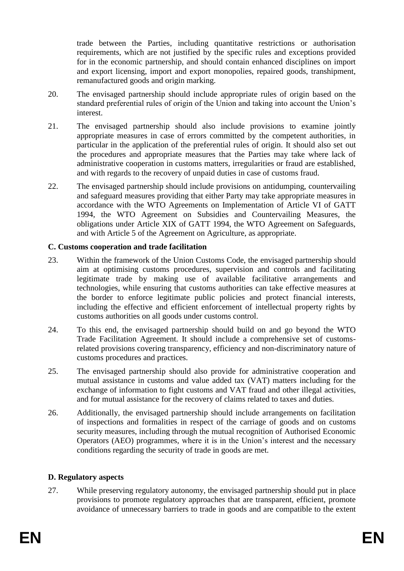trade between the Parties, including quantitative restrictions or authorisation requirements, which are not justified by the specific rules and exceptions provided for in the economic partnership, and should contain enhanced disciplines on import and export licensing, import and export monopolies, repaired goods, transhipment, remanufactured goods and origin marking.

- 20. The envisaged partnership should include appropriate rules of origin based on the standard preferential rules of origin of the Union and taking into account the Union's interest.
- 21. The envisaged partnership should also include provisions to examine jointly appropriate measures in case of errors committed by the competent authorities, in particular in the application of the preferential rules of origin. It should also set out the procedures and appropriate measures that the Parties may take where lack of administrative cooperation in customs matters, irregularities or fraud are established, and with regards to the recovery of unpaid duties in case of customs fraud.
- 22. The envisaged partnership should include provisions on antidumping, countervailing and safeguard measures providing that either Party may take appropriate measures in accordance with the WTO Agreements on Implementation of Article VI of GATT 1994, the WTO Agreement on Subsidies and Countervailing Measures, the obligations under Article XIX of GATT 1994, the WTO Agreement on Safeguards, and with Article 5 of the Agreement on Agriculture, as appropriate.

# **C. Customs cooperation and trade facilitation**

- 23. Within the framework of the Union Customs Code, the envisaged partnership should aim at optimising customs procedures, supervision and controls and facilitating legitimate trade by making use of available facilitative arrangements and technologies, while ensuring that customs authorities can take effective measures at the border to enforce legitimate public policies and protect financial interests, including the effective and efficient enforcement of intellectual property rights by customs authorities on all goods under customs control.
- 24. To this end, the envisaged partnership should build on and go beyond the WTO Trade Facilitation Agreement. It should include a comprehensive set of customsrelated provisions covering transparency, efficiency and non-discriminatory nature of customs procedures and practices.
- 25. The envisaged partnership should also provide for administrative cooperation and mutual assistance in customs and value added tax (VAT) matters including for the exchange of information to fight customs and VAT fraud and other illegal activities, and for mutual assistance for the recovery of claims related to taxes and duties.
- 26. Additionally, the envisaged partnership should include arrangements on facilitation of inspections and formalities in respect of the carriage of goods and on customs security measures, including through the mutual recognition of Authorised Economic Operators (AEO) programmes, where it is in the Union's interest and the necessary conditions regarding the security of trade in goods are met.

#### **D. Regulatory aspects**

27. While preserving regulatory autonomy, the envisaged partnership should put in place provisions to promote regulatory approaches that are transparent, efficient, promote avoidance of unnecessary barriers to trade in goods and are compatible to the extent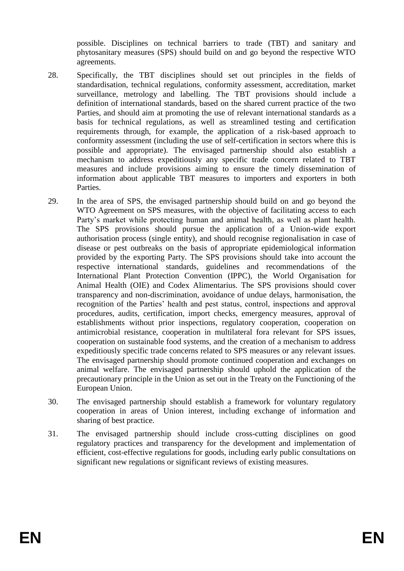possible. Disciplines on technical barriers to trade (TBT) and sanitary and phytosanitary measures (SPS) should build on and go beyond the respective WTO agreements.

- 28. Specifically, the TBT disciplines should set out principles in the fields of standardisation, technical regulations, conformity assessment, accreditation, market surveillance, metrology and labelling. The TBT provisions should include a definition of international standards, based on the shared current practice of the two Parties, and should aim at promoting the use of relevant international standards as a basis for technical regulations, as well as streamlined testing and certification requirements through, for example, the application of a risk-based approach to conformity assessment (including the use of self-certification in sectors where this is possible and appropriate). The envisaged partnership should also establish a mechanism to address expeditiously any specific trade concern related to TBT measures and include provisions aiming to ensure the timely dissemination of information about applicable TBT measures to importers and exporters in both Parties.
- 29. In the area of SPS, the envisaged partnership should build on and go beyond the WTO Agreement on SPS measures, with the objective of facilitating access to each Party's market while protecting human and animal health, as well as plant health. The SPS provisions should pursue the application of a Union-wide export authorisation process (single entity), and should recognise regionalisation in case of disease or pest outbreaks on the basis of appropriate epidemiological information provided by the exporting Party. The SPS provisions should take into account the respective international standards, guidelines and recommendations of the International Plant Protection Convention (IPPC), the World Organisation for Animal Health (OIE) and Codex Alimentarius. The SPS provisions should cover transparency and non-discrimination, avoidance of undue delays, harmonisation, the recognition of the Parties' health and pest status, control, inspections and approval procedures, audits, certification, import checks, emergency measures, approval of establishments without prior inspections, regulatory cooperation, cooperation on antimicrobial resistance, cooperation in multilateral fora relevant for SPS issues, cooperation on sustainable food systems, and the creation of a mechanism to address expeditiously specific trade concerns related to SPS measures or any relevant issues. The envisaged partnership should promote continued cooperation and exchanges on animal welfare. The envisaged partnership should uphold the application of the precautionary principle in the Union as set out in the Treaty on the Functioning of the European Union.
- 30. The envisaged partnership should establish a framework for voluntary regulatory cooperation in areas of Union interest, including exchange of information and sharing of best practice.
- 31. The envisaged partnership should include cross-cutting disciplines on good regulatory practices and transparency for the development and implementation of efficient, cost-effective regulations for goods, including early public consultations on significant new regulations or significant reviews of existing measures.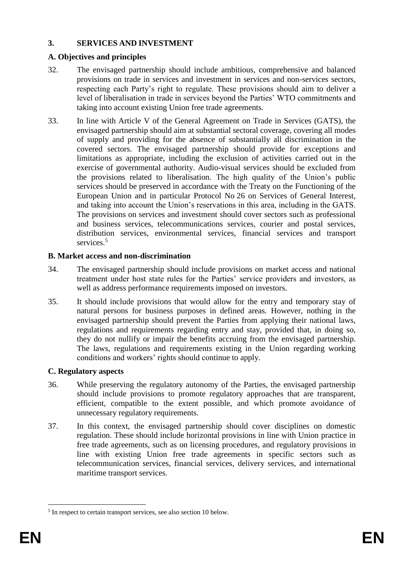# **3. SERVICES AND INVESTMENT**

# **A. Objectives and principles**

- 32. The envisaged partnership should include ambitious, comprehensive and balanced provisions on trade in services and investment in services and non-services sectors, respecting each Party's right to regulate. These provisions should aim to deliver a level of liberalisation in trade in services beyond the Parties' WTO commitments and taking into account existing Union free trade agreements.
- 33. In line with Article V of the General Agreement on Trade in Services (GATS), the envisaged partnership should aim at substantial sectoral coverage, covering all modes of supply and providing for the absence of substantially all discrimination in the covered sectors. The envisaged partnership should provide for exceptions and limitations as appropriate, including the exclusion of activities carried out in the exercise of governmental authority. Audio-visual services should be excluded from the provisions related to liberalisation. The high quality of the Union's public services should be preserved in accordance with the Treaty on the Functioning of the European Union and in particular Protocol No 26 on Services of General Interest, and taking into account the Union's reservations in this area, including in the GATS. The provisions on services and investment should cover sectors such as professional and business services, telecommunications services, courier and postal services, distribution services, environmental services, financial services and transport services<sup>5</sup>

# **B. Market access and non-discrimination**

- 34. The envisaged partnership should include provisions on market access and national treatment under host state rules for the Parties' service providers and investors, as well as address performance requirements imposed on investors.
- 35. It should include provisions that would allow for the entry and temporary stay of natural persons for business purposes in defined areas. However, nothing in the envisaged partnership should prevent the Parties from applying their national laws, regulations and requirements regarding entry and stay, provided that, in doing so, they do not nullify or impair the benefits accruing from the envisaged partnership. The laws, regulations and requirements existing in the Union regarding working conditions and workers' rights should continue to apply.

# **C. Regulatory aspects**

- 36. While preserving the regulatory autonomy of the Parties, the envisaged partnership should include provisions to promote regulatory approaches that are transparent, efficient, compatible to the extent possible, and which promote avoidance of unnecessary regulatory requirements.
- 37. In this context, the envisaged partnership should cover disciplines on domestic regulation. These should include horizontal provisions in line with Union practice in free trade agreements, such as on licensing procedures, and regulatory provisions in line with existing Union free trade agreements in specific sectors such as telecommunication services, financial services, delivery services, and international maritime transport services.

<sup>&</sup>lt;u>.</u> <sup>5</sup> In respect to certain transport services, see also section 10 below.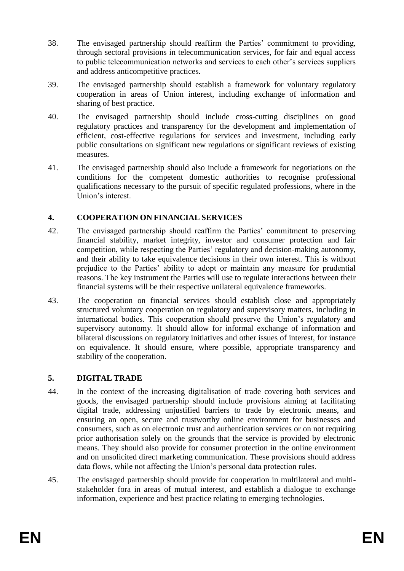- 38. The envisaged partnership should reaffirm the Parties' commitment to providing, through sectoral provisions in telecommunication services, for fair and equal access to public telecommunication networks and services to each other's services suppliers and address anticompetitive practices.
- 39. The envisaged partnership should establish a framework for voluntary regulatory cooperation in areas of Union interest, including exchange of information and sharing of best practice.
- 40. The envisaged partnership should include cross-cutting disciplines on good regulatory practices and transparency for the development and implementation of efficient, cost-effective regulations for services and investment, including early public consultations on significant new regulations or significant reviews of existing measures.
- 41. The envisaged partnership should also include a framework for negotiations on the conditions for the competent domestic authorities to recognise professional qualifications necessary to the pursuit of specific regulated professions, where in the Union's interest.

# **4. COOPERATION ON FINANCIAL SERVICES**

- 42. The envisaged partnership should reaffirm the Parties' commitment to preserving financial stability, market integrity, investor and consumer protection and fair competition, while respecting the Parties' regulatory and decision-making autonomy, and their ability to take equivalence decisions in their own interest. This is without prejudice to the Parties' ability to adopt or maintain any measure for prudential reasons. The key instrument the Parties will use to regulate interactions between their financial systems will be their respective unilateral equivalence frameworks.
- 43. The cooperation on financial services should establish close and appropriately structured voluntary cooperation on regulatory and supervisory matters, including in international bodies. This cooperation should preserve the Union's regulatory and supervisory autonomy. It should allow for informal exchange of information and bilateral discussions on regulatory initiatives and other issues of interest, for instance on equivalence. It should ensure, where possible, appropriate transparency and stability of the cooperation.

# **5. DIGITAL TRADE**

- 44. In the context of the increasing digitalisation of trade covering both services and goods, the envisaged partnership should include provisions aiming at facilitating digital trade, addressing unjustified barriers to trade by electronic means, and ensuring an open, secure and trustworthy online environment for businesses and consumers, such as on electronic trust and authentication services or on not requiring prior authorisation solely on the grounds that the service is provided by electronic means. They should also provide for consumer protection in the online environment and on unsolicited direct marketing communication. These provisions should address data flows, while not affecting the Union's personal data protection rules.
- 45. The envisaged partnership should provide for cooperation in multilateral and multistakeholder fora in areas of mutual interest, and establish a dialogue to exchange information, experience and best practice relating to emerging technologies.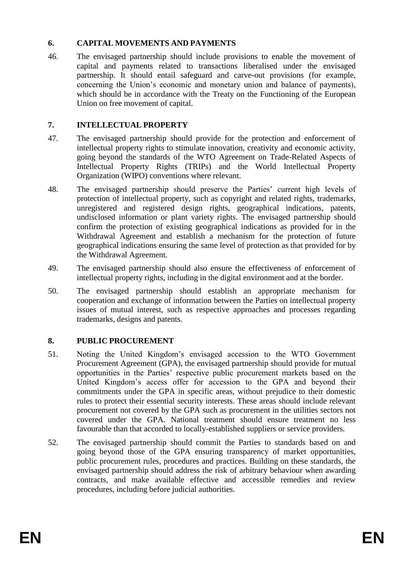### **6. CAPITAL MOVEMENTS AND PAYMENTS**

46. The envisaged partnership should include provisions to enable the movement of capital and payments related to transactions liberalised under the envisaged partnership. It should entail safeguard and carve-out provisions (for example, concerning the Union's economic and monetary union and balance of payments), which should be in accordance with the Treaty on the Functioning of the European Union on free movement of capital.

### **7. INTELLECTUAL PROPERTY**

- 47. The envisaged partnership should provide for the protection and enforcement of intellectual property rights to stimulate innovation, creativity and economic activity, going beyond the standards of the WTO Agreement on Trade-Related Aspects of Intellectual Property Rights (TRIPs) and the World Intellectual Property Organization (WIPO) conventions where relevant.
- 48. The envisaged partnership should preserve the Parties' current high levels of protection of intellectual property, such as copyright and related rights, trademarks, unregistered and registered design rights, geographical indications, patents, undisclosed information or plant variety rights. The envisaged partnership should confirm the protection of existing geographical indications as provided for in the Withdrawal Agreement and establish a mechanism for the protection of future geographical indications ensuring the same level of protection as that provided for by the Withdrawal Agreement.
- 49. The envisaged partnership should also ensure the effectiveness of enforcement of intellectual property rights, including in the digital environment and at the border.
- 50. The envisaged partnership should establish an appropriate mechanism for cooperation and exchange of information between the Parties on intellectual property issues of mutual interest, such as respective approaches and processes regarding trademarks, designs and patents.

# **8. PUBLIC PROCUREMENT**

- 51. Noting the United Kingdom's envisaged accession to the WTO Government Procurement Agreement (GPA), the envisaged partnership should provide for mutual opportunities in the Parties' respective public procurement markets based on the United Kingdom's access offer for accession to the GPA and beyond their commitments under the GPA in specific areas, without prejudice to their domestic rules to protect their essential security interests. These areas should include relevant procurement not covered by the GPA such as procurement in the utilities sectors not covered under the GPA. National treatment should ensure treatment no less favourable than that accorded to locally-established suppliers or service providers.
- 52. The envisaged partnership should commit the Parties to standards based on and going beyond those of the GPA ensuring transparency of market opportunities, public procurement rules, procedures and practices. Building on these standards, the envisaged partnership should address the risk of arbitrary behaviour when awarding contracts, and make available effective and accessible remedies and review procedures, including before judicial authorities.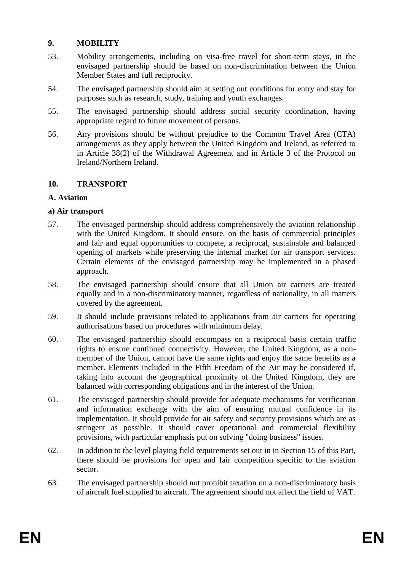# **9. MOBILITY**

- 53. Mobility arrangements, including on visa-free travel for short-term stays, in the envisaged partnership should be based on non-discrimination between the Union Member States and full reciprocity.
- 54. The envisaged partnership should aim at setting out conditions for entry and stay for purposes such as research, study, training and youth exchanges.
- 55. The envisaged partnership should address social security coordination, having appropriate regard to future movement of persons.
- 56. Any provisions should be without prejudice to the Common Travel Area (CTA) arrangements as they apply between the United Kingdom and Ireland, as referred to in Article 38(2) of the Withdrawal Agreement and in Article 3 of the Protocol on Ireland/Northern Ireland.

### **10. TRANSPORT**

### **A. Aviation**

### **a) Air transport**

- 57. The envisaged partnership should address comprehensively the aviation relationship with the United Kingdom. It should ensure, on the basis of commercial principles and fair and equal opportunities to compete, a reciprocal, sustainable and balanced opening of markets while preserving the internal market for air transport services. Certain elements of the envisaged partnership may be implemented in a phased approach.
- 58. The envisaged partnership should ensure that all Union air carriers are treated equally and in a non-discriminatory manner, regardless of nationality, in all matters covered by the agreement.
- 59. It should include provisions related to applications from air carriers for operating authorisations based on procedures with minimum delay.
- 60. The envisaged partnership should encompass on a reciprocal basis certain traffic rights to ensure continued connectivity. However, the United Kingdom, as a nonmember of the Union, cannot have the same rights and enjoy the same benefits as a member. Elements included in the Fifth Freedom of the Air may be considered if, taking into account the geographical proximity of the United Kingdom, they are balanced with corresponding obligations and in the interest of the Union.
- 61. The envisaged partnership should provide for adequate mechanisms for verification and information exchange with the aim of ensuring mutual confidence in its implementation. It should provide for air safety and security provisions which are as stringent as possible. It should cover operational and commercial flexibility provisions, with particular emphasis put on solving "doing business" issues.
- 62. In addition to the level playing field requirements set out in in Section 15 of this Part, there should be provisions for open and fair competition specific to the aviation sector.
- 63. The envisaged partnership should not prohibit taxation on a non-discriminatory basis of aircraft fuel supplied to aircraft. The agreement should not affect the field of VAT.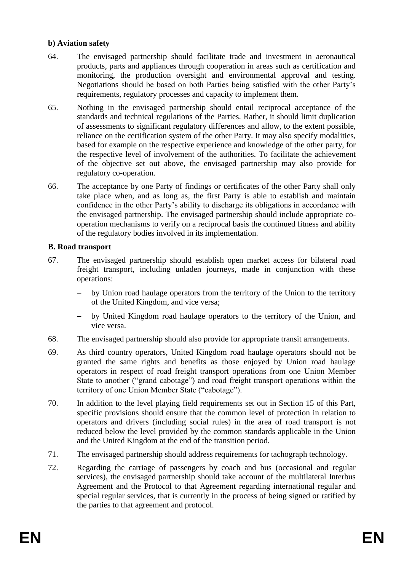### **b) Aviation safety**

- 64. The envisaged partnership should facilitate trade and investment in aeronautical products, parts and appliances through cooperation in areas such as certification and monitoring, the production oversight and environmental approval and testing. Negotiations should be based on both Parties being satisfied with the other Party's requirements, regulatory processes and capacity to implement them.
- 65. Nothing in the envisaged partnership should entail reciprocal acceptance of the standards and technical regulations of the Parties. Rather, it should limit duplication of assessments to significant regulatory differences and allow, to the extent possible, reliance on the certification system of the other Party. It may also specify modalities, based for example on the respective experience and knowledge of the other party, for the respective level of involvement of the authorities. To facilitate the achievement of the objective set out above, the envisaged partnership may also provide for regulatory co-operation.
- 66. The acceptance by one Party of findings or certificates of the other Party shall only take place when, and as long as, the first Party is able to establish and maintain confidence in the other Party's ability to discharge its obligations in accordance with the envisaged partnership. The envisaged partnership should include appropriate cooperation mechanisms to verify on a reciprocal basis the continued fitness and ability of the regulatory bodies involved in its implementation.

### **B. Road transport**

- 67. The envisaged partnership should establish open market access for bilateral road freight transport, including unladen journeys, made in conjunction with these operations:
	- by Union road haulage operators from the territory of the Union to the territory of the United Kingdom, and vice versa;
	- by United Kingdom road haulage operators to the territory of the Union, and vice versa.
- 68. The envisaged partnership should also provide for appropriate transit arrangements.
- 69. As third country operators, United Kingdom road haulage operators should not be granted the same rights and benefits as those enjoyed by Union road haulage operators in respect of road freight transport operations from one Union Member State to another ("grand cabotage") and road freight transport operations within the territory of one Union Member State ("cabotage").
- 70. In addition to the level playing field requirements set out in Section 15 of this Part, specific provisions should ensure that the common level of protection in relation to operators and drivers (including social rules) in the area of road transport is not reduced below the level provided by the common standards applicable in the Union and the United Kingdom at the end of the transition period.
- 71. The envisaged partnership should address requirements for tachograph technology.
- 72. Regarding the carriage of passengers by coach and bus (occasional and regular services), the envisaged partnership should take account of the multilateral Interbus Agreement and the Protocol to that Agreement regarding international regular and special regular services, that is currently in the process of being signed or ratified by the parties to that agreement and protocol.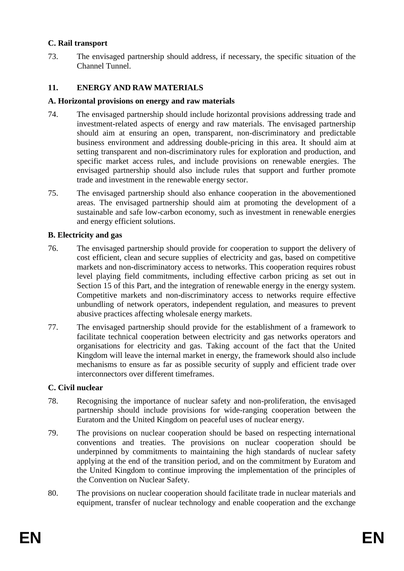### **C. Rail transport**

73. The envisaged partnership should address, if necessary, the specific situation of the Channel Tunnel.

# **11. ENERGY AND RAW MATERIALS**

#### **A. Horizontal provisions on energy and raw materials**

- 74. The envisaged partnership should include horizontal provisions addressing trade and investment-related aspects of energy and raw materials. The envisaged partnership should aim at ensuring an open, transparent, non-discriminatory and predictable business environment and addressing double-pricing in this area. It should aim at setting transparent and non-discriminatory rules for exploration and production, and specific market access rules, and include provisions on renewable energies. The envisaged partnership should also include rules that support and further promote trade and investment in the renewable energy sector.
- 75. The envisaged partnership should also enhance cooperation in the abovementioned areas. The envisaged partnership should aim at promoting the development of a sustainable and safe low-carbon economy, such as investment in renewable energies and energy efficient solutions.

#### **B. Electricity and gas**

- 76. The envisaged partnership should provide for cooperation to support the delivery of cost efficient, clean and secure supplies of electricity and gas, based on competitive markets and non-discriminatory access to networks. This cooperation requires robust level playing field commitments, including effective carbon pricing as set out in Section 15 of this Part, and the integration of renewable energy in the energy system. Competitive markets and non-discriminatory access to networks require effective unbundling of network operators, independent regulation, and measures to prevent abusive practices affecting wholesale energy markets.
- 77. The envisaged partnership should provide for the establishment of a framework to facilitate technical cooperation between electricity and gas networks operators and organisations for electricity and gas. Taking account of the fact that the United Kingdom will leave the internal market in energy, the framework should also include mechanisms to ensure as far as possible security of supply and efficient trade over interconnectors over different timeframes.

#### **C. Civil nuclear**

- 78. Recognising the importance of nuclear safety and non-proliferation, the envisaged partnership should include provisions for wide-ranging cooperation between the Euratom and the United Kingdom on peaceful uses of nuclear energy.
- 79. The provisions on nuclear cooperation should be based on respecting international conventions and treaties. The provisions on nuclear cooperation should be underpinned by commitments to maintaining the high standards of nuclear safety applying at the end of the transition period, and on the commitment by Euratom and the United Kingdom to continue improving the implementation of the principles of the Convention on Nuclear Safety.
- 80. The provisions on nuclear cooperation should facilitate trade in nuclear materials and equipment, transfer of nuclear technology and enable cooperation and the exchange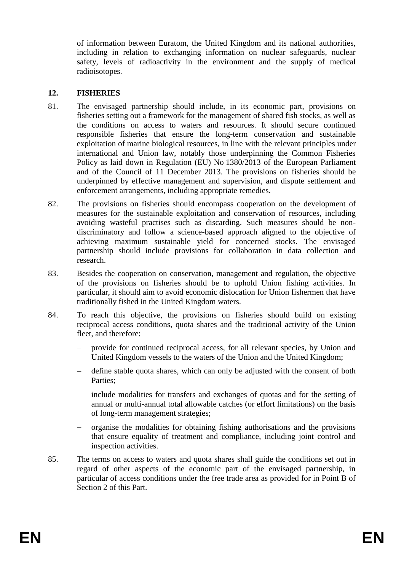of information between Euratom, the United Kingdom and its national authorities, including in relation to exchanging information on nuclear safeguards, nuclear safety, levels of radioactivity in the environment and the supply of medical radioisotopes.

# **12. FISHERIES**

- 81. The envisaged partnership should include, in its economic part, provisions on fisheries setting out a framework for the management of shared fish stocks, as well as the conditions on access to waters and resources. It should secure continued responsible fisheries that ensure the long-term conservation and sustainable exploitation of marine biological resources, in line with the relevant principles under international and Union law, notably those underpinning the Common Fisheries Policy as laid down in Regulation (EU) No 1380/2013 of the European Parliament and of the Council of 11 December 2013. The provisions on fisheries should be underpinned by effective management and supervision, and dispute settlement and enforcement arrangements, including appropriate remedies.
- 82. The provisions on fisheries should encompass cooperation on the development of measures for the sustainable exploitation and conservation of resources, including avoiding wasteful practises such as discarding. Such measures should be nondiscriminatory and follow a science-based approach aligned to the objective of achieving maximum sustainable yield for concerned stocks. The envisaged partnership should include provisions for collaboration in data collection and research.
- 83. Besides the cooperation on conservation, management and regulation, the objective of the provisions on fisheries should be to uphold Union fishing activities. In particular, it should aim to avoid economic dislocation for Union fishermen that have traditionally fished in the United Kingdom waters.
- 84. To reach this objective, the provisions on fisheries should build on existing reciprocal access conditions, quota shares and the traditional activity of the Union fleet, and therefore:
	- provide for continued reciprocal access, for all relevant species, by Union and United Kingdom vessels to the waters of the Union and the United Kingdom;
	- define stable quota shares, which can only be adjusted with the consent of both Parties;
	- include modalities for transfers and exchanges of quotas and for the setting of annual or multi-annual total allowable catches (or effort limitations) on the basis of long-term management strategies;
	- organise the modalities for obtaining fishing authorisations and the provisions that ensure equality of treatment and compliance, including joint control and inspection activities.
- <span id="page-20-0"></span>85. The terms on access to waters and quota shares shall guide the conditions set out in regard of other aspects of the economic part of the envisaged partnership, in particular of access conditions under the free trade area as provided for in Point B of Section 2 of this Part.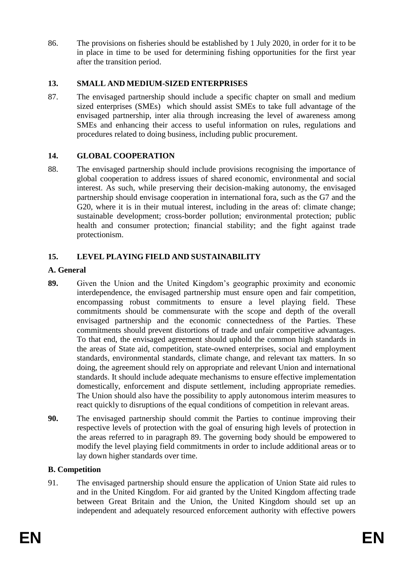86. The provisions on fisheries should be established by 1 July 2020, in order for it to be in place in time to be used for determining fishing opportunities for the first year after the transition period.

# **13. SMALL AND MEDIUM-SIZED ENTERPRISES**

87. The envisaged partnership should include a specific chapter on small and medium sized enterprises (SMEs) which should assist SMEs to take full advantage of the envisaged partnership, inter alia through increasing the level of awareness among SMEs and enhancing their access to useful information on rules, regulations and procedures related to doing business, including public procurement.

### **14. GLOBAL COOPERATION**

88. The envisaged partnership should include provisions recognising the importance of global cooperation to address issues of shared economic, environmental and social interest. As such, while preserving their decision-making autonomy, the envisaged partnership should envisage cooperation in international fora, such as the G7 and the G20, where it is in their mutual interest, including in the areas of: climate change; sustainable development; cross-border pollution; environmental protection; public health and consumer protection; financial stability; and the fight against trade protectionism.

# **15. LEVEL PLAYING FIELD AND SUSTAINABILITY**

### **A. General**

- <span id="page-21-0"></span>**89.** Given the Union and the United Kingdom's geographic proximity and economic interdependence, the envisaged partnership must ensure open and fair competition, encompassing robust commitments to ensure a level playing field. These commitments should be commensurate with the scope and depth of the overall envisaged partnership and the economic connectedness of the Parties. These commitments should prevent distortions of trade and unfair competitive advantages. To that end, the envisaged agreement should uphold the common high standards in the areas of State aid, competition, state-owned enterprises, social and employment standards, environmental standards, climate change, and relevant tax matters. In so doing, the agreement should rely on appropriate and relevant Union and international standards. It should include adequate mechanisms to ensure effective implementation domestically, enforcement and dispute settlement, including appropriate remedies. The Union should also have the possibility to apply autonomous interim measures to react quickly to disruptions of the equal conditions of competition in relevant areas.
- **90.** The envisaged partnership should commit the Parties to continue improving their respective levels of protection with the goal of ensuring high levels of protection in the areas referred to in paragraph [89.](#page-21-0) The governing body should be empowered to modify the level playing field commitments in order to include additional areas or to lay down higher standards over time.

# **B. Competition**

91. The envisaged partnership should ensure the application of Union State aid rules to and in the United Kingdom. For aid granted by the United Kingdom affecting trade between Great Britain and the Union, the United Kingdom should set up an independent and adequately resourced enforcement authority with effective powers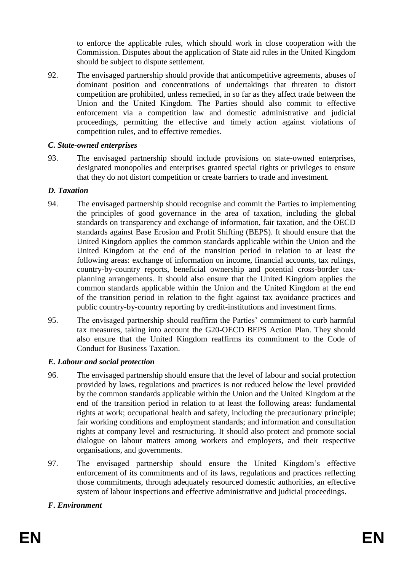to enforce the applicable rules, which should work in close cooperation with the Commission. Disputes about the application of State aid rules in the United Kingdom should be subject to dispute settlement.

92. The envisaged partnership should provide that anticompetitive agreements, abuses of dominant position and concentrations of undertakings that threaten to distort competition are prohibited, unless remedied, in so far as they affect trade between the Union and the United Kingdom. The Parties should also commit to effective enforcement via a competition law and domestic administrative and judicial proceedings, permitting the effective and timely action against violations of competition rules, and to effective remedies.

### *C. State-owned enterprises*

93. The envisaged partnership should include provisions on state-owned enterprises, designated monopolies and enterprises granted special rights or privileges to ensure that they do not distort competition or create barriers to trade and investment.

### *D. Taxation*

- 94. The envisaged partnership should recognise and commit the Parties to implementing the principles of good governance in the area of taxation, including the global standards on transparency and exchange of information, fair taxation, and the OECD standards against Base Erosion and Profit Shifting (BEPS). It should ensure that the United Kingdom applies the common standards applicable within the Union and the United Kingdom at the end of the transition period in relation to at least the following areas: exchange of information on income, financial accounts, tax rulings, country-by-country reports, beneficial ownership and potential cross-border taxplanning arrangements. It should also ensure that the United Kingdom applies the common standards applicable within the Union and the United Kingdom at the end of the transition period in relation to the fight against tax avoidance practices and public country-by-country reporting by credit-institutions and investment firms.
- 95. The envisaged partnership should reaffirm the Parties' commitment to curb harmful tax measures, taking into account the G20-OECD BEPS Action Plan. They should also ensure that the United Kingdom reaffirms its commitment to the Code of Conduct for Business Taxation.

# *E. Labour and social protection*

- <span id="page-22-0"></span>96. The envisaged partnership should ensure that the level of labour and social protection provided by laws, regulations and practices is not reduced below the level provided by the common standards applicable within the Union and the United Kingdom at the end of the transition period in relation to at least the following areas: fundamental rights at work; occupational health and safety, including the precautionary principle; fair working conditions and employment standards; and information and consultation rights at company level and restructuring. It should also protect and promote social dialogue on labour matters among workers and employers, and their respective organisations, and governments.
- 97. The envisaged partnership should ensure the United Kingdom's effective enforcement of its commitments and of its laws, regulations and practices reflecting those commitments, through adequately resourced domestic authorities, an effective system of labour inspections and effective administrative and judicial proceedings.

# *F. Environment*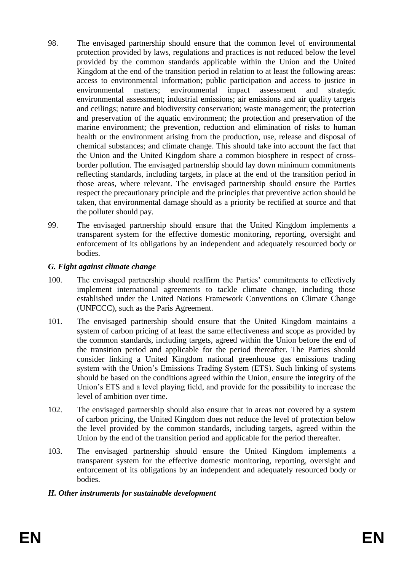- <span id="page-23-0"></span>98. The envisaged partnership should ensure that the common level of environmental protection provided by laws, regulations and practices is not reduced below the level provided by the common standards applicable within the Union and the United Kingdom at the end of the transition period in relation to at least the following areas: access to environmental information; public participation and access to justice in environmental matters; environmental impact assessment and strategic environmental assessment; industrial emissions; air emissions and air quality targets and ceilings; nature and biodiversity conservation; waste management; the protection and preservation of the aquatic environment; the protection and preservation of the marine environment; the prevention, reduction and elimination of risks to human health or the environment arising from the production, use, release and disposal of chemical substances; and climate change. This should take into account the fact that the Union and the United Kingdom share a common biosphere in respect of crossborder pollution. The envisaged partnership should lay down minimum commitments reflecting standards, including targets, in place at the end of the transition period in those areas, where relevant. The envisaged partnership should ensure the Parties respect the precautionary principle and the principles that preventive action should be taken, that environmental damage should as a priority be rectified at source and that the polluter should pay.
- 99. The envisaged partnership should ensure that the United Kingdom implements a transparent system for the effective domestic monitoring, reporting, oversight and enforcement of its obligations by an independent and adequately resourced body or bodies.

### *G. Fight against climate change*

- <span id="page-23-1"></span>100. The envisaged partnership should reaffirm the Parties' commitments to effectively implement international agreements to tackle climate change, including those established under the United Nations Framework Conventions on Climate Change (UNFCCC), such as the Paris Agreement.
- 101. The envisaged partnership should ensure that the United Kingdom maintains a system of carbon pricing of at least the same effectiveness and scope as provided by the common standards, including targets, agreed within the Union before the end of the transition period and applicable for the period thereafter. The Parties should consider linking a United Kingdom national greenhouse gas emissions trading system with the Union's Emissions Trading System (ETS). Such linking of systems should be based on the conditions agreed within the Union, ensure the integrity of the Union's ETS and a level playing field, and provide for the possibility to increase the level of ambition over time.
- <span id="page-23-2"></span>102. The envisaged partnership should also ensure that in areas not covered by a system of carbon pricing, the United Kingdom does not reduce the level of protection below the level provided by the common standards, including targets, agreed within the Union by the end of the transition period and applicable for the period thereafter.
- 103. The envisaged partnership should ensure the United Kingdom implements a transparent system for the effective domestic monitoring, reporting, oversight and enforcement of its obligations by an independent and adequately resourced body or bodies.

# *H. Other instruments for sustainable development*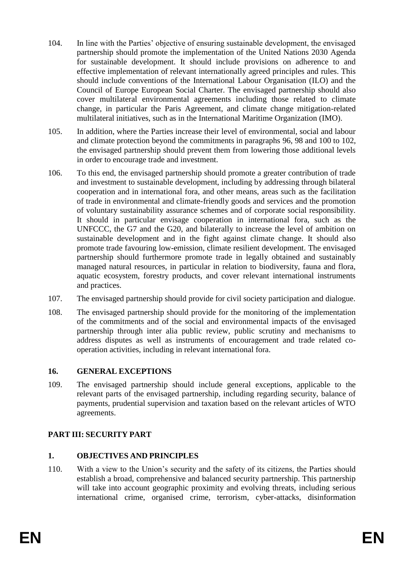- 104. In line with the Parties' objective of ensuring sustainable development, the envisaged partnership should promote the implementation of the United Nations 2030 Agenda for sustainable development. It should include provisions on adherence to and effective implementation of relevant internationally agreed principles and rules. This should include conventions of the International Labour Organisation (ILO) and the Council of Europe European Social Charter. The envisaged partnership should also cover multilateral environmental agreements including those related to climate change, in particular the Paris Agreement, and climate change mitigation-related multilateral initiatives, such as in the International Maritime Organization (IMO).
- 105. In addition, where the Parties increase their level of environmental, social and labour and climate protection beyond the commitments in paragraphs [96,](#page-22-0) [98](#page-23-0) and [100](#page-23-1) to [102,](#page-23-2) the envisaged partnership should prevent them from lowering those additional levels in order to encourage trade and investment.
- 106. To this end, the envisaged partnership should promote a greater contribution of trade and investment to sustainable development, including by addressing through bilateral cooperation and in international fora, and other means, areas such as the facilitation of trade in environmental and climate-friendly goods and services and the promotion of voluntary sustainability assurance schemes and of corporate social responsibility. It should in particular envisage cooperation in international fora, such as the UNFCCC, the G7 and the G20, and bilaterally to increase the level of ambition on sustainable development and in the fight against climate change. It should also promote trade favouring low-emission, climate resilient development. The envisaged partnership should furthermore promote trade in legally obtained and sustainably managed natural resources, in particular in relation to biodiversity, fauna and flora, aquatic ecosystem, forestry products, and cover relevant international instruments and practices.
- 107. The envisaged partnership should provide for civil society participation and dialogue.
- 108. The envisaged partnership should provide for the monitoring of the implementation of the commitments and of the social and environmental impacts of the envisaged partnership through inter alia public review, public scrutiny and mechanisms to address disputes as well as instruments of encouragement and trade related cooperation activities, including in relevant international fora.

#### **16. GENERAL EXCEPTIONS**

109. The envisaged partnership should include general exceptions, applicable to the relevant parts of the envisaged partnership, including regarding security, balance of payments, prudential supervision and taxation based on the relevant articles of WTO agreements.

# **PART III: SECURITY PART**

# **1. OBJECTIVES AND PRINCIPLES**

110. With a view to the Union's security and the safety of its citizens, the Parties should establish a broad, comprehensive and balanced security partnership. This partnership will take into account geographic proximity and evolving threats, including serious international crime, organised crime, terrorism, cyber-attacks, disinformation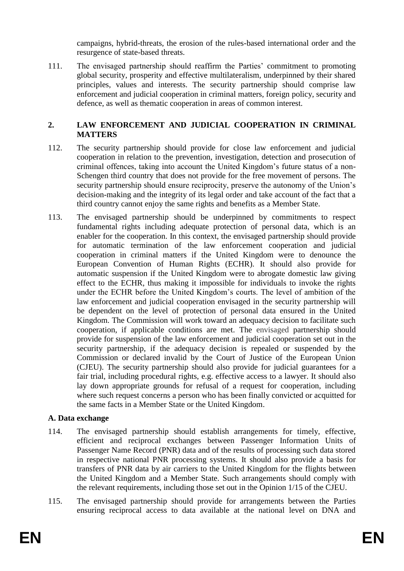campaigns, hybrid-threats, the erosion of the rules-based international order and the resurgence of state-based threats.

111. The envisaged partnership should reaffirm the Parties' commitment to promoting global security, prosperity and effective multilateralism, underpinned by their shared principles, values and interests. The security partnership should comprise law enforcement and judicial cooperation in criminal matters, foreign policy, security and defence, as well as thematic cooperation in areas of common interest.

# **2. LAW ENFORCEMENT AND JUDICIAL COOPERATION IN CRIMINAL MATTERS**

- 112. The security partnership should provide for close law enforcement and judicial cooperation in relation to the prevention, investigation, detection and prosecution of criminal offences, taking into account the United Kingdom's future status of a non-Schengen third country that does not provide for the free movement of persons. The security partnership should ensure reciprocity, preserve the autonomy of the Union's decision-making and the integrity of its legal order and take account of the fact that a third country cannot enjoy the same rights and benefits as a Member State.
- 113. The envisaged partnership should be underpinned by commitments to respect fundamental rights including adequate protection of personal data, which is an enabler for the cooperation. In this context, the envisaged partnership should provide for automatic termination of the law enforcement cooperation and judicial cooperation in criminal matters if the United Kingdom were to denounce the European Convention of Human Rights (ECHR). It should also provide for automatic suspension if the United Kingdom were to abrogate domestic law giving effect to the ECHR, thus making it impossible for individuals to invoke the rights under the ECHR before the United Kingdom's courts. The level of ambition of the law enforcement and judicial cooperation envisaged in the security partnership will be dependent on the level of protection of personal data ensured in the United Kingdom. The Commission will work toward an adequacy decision to facilitate such cooperation, if applicable conditions are met. The envisaged partnership should provide for suspension of the law enforcement and judicial cooperation set out in the security partnership, if the adequacy decision is repealed or suspended by the Commission or declared invalid by the Court of Justice of the European Union (CJEU). The security partnership should also provide for judicial guarantees for a fair trial, including procedural rights, e.g. effective access to a lawyer. It should also lay down appropriate grounds for refusal of a request for cooperation, including where such request concerns a person who has been finally convicted or acquitted for the same facts in a Member State or the United Kingdom.

# **A. Data exchange**

- 114. The envisaged partnership should establish arrangements for timely, effective, efficient and reciprocal exchanges between Passenger Information Units of Passenger Name Record (PNR) data and of the results of processing such data stored in respective national PNR processing systems. It should also provide a basis for transfers of PNR data by air carriers to the United Kingdom for the flights between the United Kingdom and a Member State. Such arrangements should comply with the relevant requirements, including those set out in the Opinion 1/15 of the CJEU.
- 115. The envisaged partnership should provide for arrangements between the Parties ensuring reciprocal access to data available at the national level on DNA and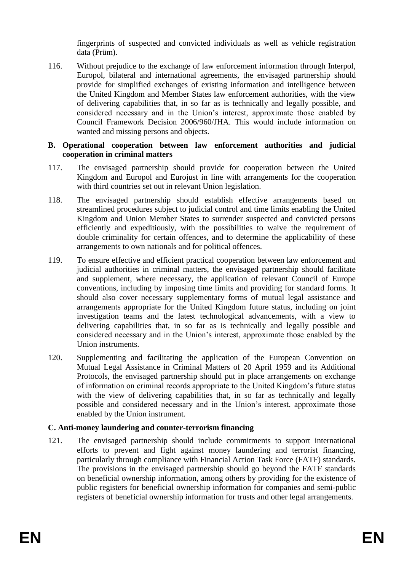fingerprints of suspected and convicted individuals as well as vehicle registration data (Prüm).

116. Without prejudice to the exchange of law enforcement information through Interpol, Europol, bilateral and international agreements, the envisaged partnership should provide for simplified exchanges of existing information and intelligence between the United Kingdom and Member States law enforcement authorities, with the view of delivering capabilities that, in so far as is technically and legally possible, and considered necessary and in the Union's interest, approximate those enabled by Council Framework Decision 2006/960/JHA. This would include information on wanted and missing persons and objects.

### **B. Operational cooperation between law enforcement authorities and judicial cooperation in criminal matters**

- 117. The envisaged partnership should provide for cooperation between the United Kingdom and Europol and Eurojust in line with arrangements for the cooperation with third countries set out in relevant Union legislation.
- 118. The envisaged partnership should establish effective arrangements based on streamlined procedures subject to judicial control and time limits enabling the United Kingdom and Union Member States to surrender suspected and convicted persons efficiently and expeditiously, with the possibilities to waive the requirement of double criminality for certain offences, and to determine the applicability of these arrangements to own nationals and for political offences.
- 119. To ensure effective and efficient practical cooperation between law enforcement and judicial authorities in criminal matters, the envisaged partnership should facilitate and supplement, where necessary, the application of relevant Council of Europe conventions, including by imposing time limits and providing for standard forms. It should also cover necessary supplementary forms of mutual legal assistance and arrangements appropriate for the United Kingdom future status, including on joint investigation teams and the latest technological advancements, with a view to delivering capabilities that, in so far as is technically and legally possible and considered necessary and in the Union's interest, approximate those enabled by the Union instruments.
- 120. Supplementing and facilitating the application of the European Convention on Mutual Legal Assistance in Criminal Matters of 20 April 1959 and its Additional Protocols, the envisaged partnership should put in place arrangements on exchange of information on criminal records appropriate to the United Kingdom's future status with the view of delivering capabilities that, in so far as technically and legally possible and considered necessary and in the Union's interest, approximate those enabled by the Union instrument.

# **C. Anti-money laundering and counter-terrorism financing**

121. The envisaged partnership should include commitments to support international efforts to prevent and fight against money laundering and terrorist financing, particularly through compliance with Financial Action Task Force (FATF) standards. The provisions in the envisaged partnership should go beyond the FATF standards on beneficial ownership information, among others by providing for the existence of public registers for beneficial ownership information for companies and semi-public registers of beneficial ownership information for trusts and other legal arrangements.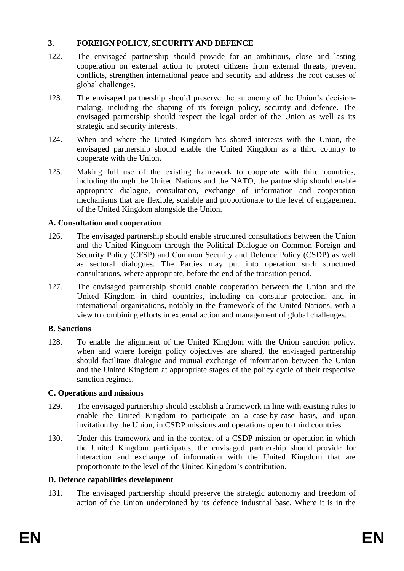# **3. FOREIGN POLICY, SECURITY AND DEFENCE**

- 122. The envisaged partnership should provide for an ambitious, close and lasting cooperation on external action to protect citizens from external threats, prevent conflicts, strengthen international peace and security and address the root causes of global challenges.
- 123. The envisaged partnership should preserve the autonomy of the Union's decisionmaking, including the shaping of its foreign policy, security and defence. The envisaged partnership should respect the legal order of the Union as well as its strategic and security interests.
- 124. When and where the United Kingdom has shared interests with the Union, the envisaged partnership should enable the United Kingdom as a third country to cooperate with the Union.
- 125. Making full use of the existing framework to cooperate with third countries, including through the United Nations and the NATO, the partnership should enable appropriate dialogue, consultation, exchange of information and cooperation mechanisms that are flexible, scalable and proportionate to the level of engagement of the United Kingdom alongside the Union.

# **A. Consultation and cooperation**

- 126. The envisaged partnership should enable structured consultations between the Union and the United Kingdom through the Political Dialogue on Common Foreign and Security Policy (CFSP) and Common Security and Defence Policy (CSDP) as well as sectoral dialogues. The Parties may put into operation such structured consultations, where appropriate, before the end of the transition period.
- 127. The envisaged partnership should enable cooperation between the Union and the United Kingdom in third countries, including on consular protection, and in international organisations, notably in the framework of the United Nations, with a view to combining efforts in external action and management of global challenges.

# **B. Sanctions**

128. To enable the alignment of the United Kingdom with the Union sanction policy, when and where foreign policy objectives are shared, the envisaged partnership should facilitate dialogue and mutual exchange of information between the Union and the United Kingdom at appropriate stages of the policy cycle of their respective sanction regimes.

# **C. Operations and missions**

- 129. The envisaged partnership should establish a framework in line with existing rules to enable the United Kingdom to participate on a case-by-case basis, and upon invitation by the Union, in CSDP missions and operations open to third countries.
- 130. Under this framework and in the context of a CSDP mission or operation in which the United Kingdom participates, the envisaged partnership should provide for interaction and exchange of information with the United Kingdom that are proportionate to the level of the United Kingdom's contribution.

# **D. Defence capabilities development**

131. The envisaged partnership should preserve the strategic autonomy and freedom of action of the Union underpinned by its defence industrial base. Where it is in the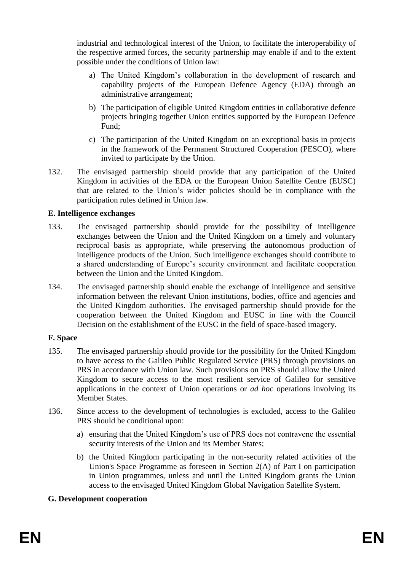industrial and technological interest of the Union, to facilitate the interoperability of the respective armed forces, the security partnership may enable if and to the extent possible under the conditions of Union law:

- a) The United Kingdom's collaboration in the development of research and capability projects of the European Defence Agency (EDA) through an administrative arrangement;
- b) The participation of eligible United Kingdom entities in collaborative defence projects bringing together Union entities supported by the European Defence Fund;
- c) The participation of the United Kingdom on an exceptional basis in projects in the framework of the Permanent Structured Cooperation (PESCO), where invited to participate by the Union.
- 132. The envisaged partnership should provide that any participation of the United Kingdom in activities of the EDA or the European Union Satellite Centre (EUSC) that are related to the Union's wider policies should be in compliance with the participation rules defined in Union law.

### **E. Intelligence exchanges**

- 133. The envisaged partnership should provide for the possibility of intelligence exchanges between the Union and the United Kingdom on a timely and voluntary reciprocal basis as appropriate, while preserving the autonomous production of intelligence products of the Union. Such intelligence exchanges should contribute to a shared understanding of Europe's security environment and facilitate cooperation between the Union and the United Kingdom.
- 134. The envisaged partnership should enable the exchange of intelligence and sensitive information between the relevant Union institutions, bodies, office and agencies and the United Kingdom authorities. The envisaged partnership should provide for the cooperation between the United Kingdom and EUSC in line with the Council Decision on the establishment of the EUSC in the field of space-based imagery.

#### **F. Space**

- 135. The envisaged partnership should provide for the possibility for the United Kingdom to have access to the Galileo Public Regulated Service (PRS) through provisions on PRS in accordance with Union law. Such provisions on PRS should allow the United Kingdom to secure access to the most resilient service of Galileo for sensitive applications in the context of Union operations or *ad hoc* operations involving its Member States.
- 136. Since access to the development of technologies is excluded, access to the Galileo PRS should be conditional upon:
	- a) ensuring that the United Kingdom's use of PRS does not contravene the essential security interests of the Union and its Member States;
	- b) the United Kingdom participating in the non-security related activities of the Union's Space Programme as foreseen in Section 2(A) of Part I on participation in Union programmes, unless and until the United Kingdom grants the Union access to the envisaged United Kingdom Global Navigation Satellite System.

#### **G. Development cooperation**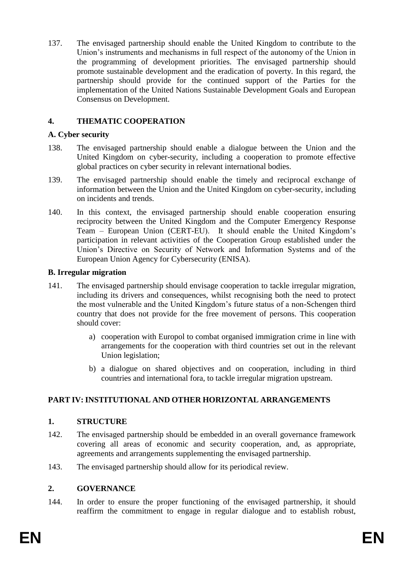137. The envisaged partnership should enable the United Kingdom to contribute to the Union's instruments and mechanisms in full respect of the autonomy of the Union in the programming of development priorities. The envisaged partnership should promote sustainable development and the eradication of poverty. In this regard, the partnership should provide for the continued support of the Parties for the implementation of the United Nations Sustainable Development Goals and European Consensus on Development.

# **4. THEMATIC COOPERATION**

### **A. Cyber security**

- 138. The envisaged partnership should enable a dialogue between the Union and the United Kingdom on cyber-security, including a cooperation to promote effective global practices on cyber security in relevant international bodies.
- 139. The envisaged partnership should enable the timely and reciprocal exchange of information between the Union and the United Kingdom on cyber-security, including on incidents and trends.
- 140. In this context, the envisaged partnership should enable cooperation ensuring reciprocity between the United Kingdom and the Computer Emergency Response Team – European Union (CERT-EU). It should enable the United Kingdom's participation in relevant activities of the Cooperation Group established under the Union's Directive on Security of Network and Information Systems and of the European Union Agency for Cybersecurity (ENISA).

### **B. Irregular migration**

- 141. The envisaged partnership should envisage cooperation to tackle irregular migration, including its drivers and consequences, whilst recognising both the need to protect the most vulnerable and the United Kingdom's future status of a non-Schengen third country that does not provide for the free movement of persons. This cooperation should cover:
	- a) cooperation with Europol to combat organised immigration crime in line with arrangements for the cooperation with third countries set out in the relevant Union legislation;
	- b) a dialogue on shared objectives and on cooperation, including in third countries and international fora, to tackle irregular migration upstream.

# **PART IV: INSTITUTIONAL AND OTHER HORIZONTAL ARRANGEMENTS**

# **1. STRUCTURE**

- 142. The envisaged partnership should be embedded in an overall governance framework covering all areas of economic and security cooperation, and, as appropriate, agreements and arrangements supplementing the envisaged partnership.
- 143. The envisaged partnership should allow for its periodical review.

# **2. GOVERNANCE**

144. In order to ensure the proper functioning of the envisaged partnership, it should reaffirm the commitment to engage in regular dialogue and to establish robust,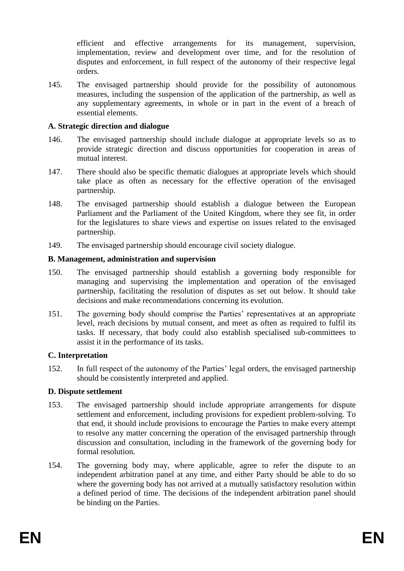efficient and effective arrangements for its management, supervision, implementation, review and development over time, and for the resolution of disputes and enforcement, in full respect of the autonomy of their respective legal orders.

145. The envisaged partnership should provide for the possibility of autonomous measures, including the suspension of the application of the partnership, as well as any supplementary agreements, in whole or in part in the event of a breach of essential elements.

### **A. Strategic direction and dialogue**

- 146. The envisaged partnership should include dialogue at appropriate levels so as to provide strategic direction and discuss opportunities for cooperation in areas of mutual interest.
- 147. There should also be specific thematic dialogues at appropriate levels which should take place as often as necessary for the effective operation of the envisaged partnership.
- 148. The envisaged partnership should establish a dialogue between the European Parliament and the Parliament of the United Kingdom, where they see fit, in order for the legislatures to share views and expertise on issues related to the envisaged partnership.
- 149. The envisaged partnership should encourage civil society dialogue.

### **B. Management, administration and supervision**

- 150. The envisaged partnership should establish a governing body responsible for managing and supervising the implementation and operation of the envisaged partnership, facilitating the resolution of disputes as set out below. It should take decisions and make recommendations concerning its evolution.
- 151. The governing body should comprise the Parties' representatives at an appropriate level, reach decisions by mutual consent, and meet as often as required to fulfil its tasks. If necessary, that body could also establish specialised sub-committees to assist it in the performance of its tasks.

#### **C. Interpretation**

152. In full respect of the autonomy of the Parties' legal orders, the envisaged partnership should be consistently interpreted and applied.

# **D. Dispute settlement**

- 153. The envisaged partnership should include appropriate arrangements for dispute settlement and enforcement, including provisions for expedient problem-solving. To that end, it should include provisions to encourage the Parties to make every attempt to resolve any matter concerning the operation of the envisaged partnership through discussion and consultation, including in the framework of the governing body for formal resolution.
- 154. The governing body may, where applicable, agree to refer the dispute to an independent arbitration panel at any time, and either Party should be able to do so where the governing body has not arrived at a mutually satisfactory resolution within a defined period of time. The decisions of the independent arbitration panel should be binding on the Parties.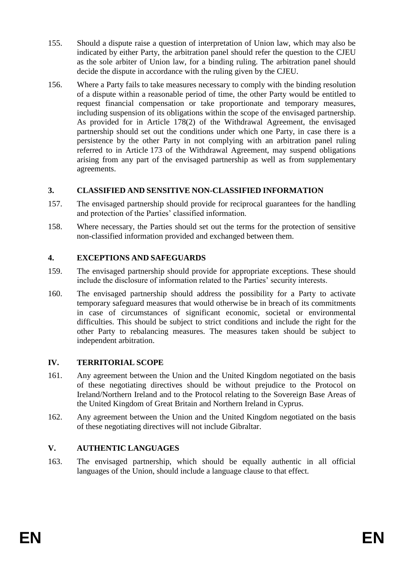- 155. Should a dispute raise a question of interpretation of Union law, which may also be indicated by either Party, the arbitration panel should refer the question to the CJEU as the sole arbiter of Union law, for a binding ruling. The arbitration panel should decide the dispute in accordance with the ruling given by the CJEU.
- 156. Where a Party fails to take measures necessary to comply with the binding resolution of a dispute within a reasonable period of time, the other Party would be entitled to request financial compensation or take proportionate and temporary measures, including suspension of its obligations within the scope of the envisaged partnership. As provided for in Article 178(2) of the Withdrawal Agreement, the envisaged partnership should set out the conditions under which one Party, in case there is a persistence by the other Party in not complying with an arbitration panel ruling referred to in Article 173 of the Withdrawal Agreement, may suspend obligations arising from any part of the envisaged partnership as well as from supplementary agreements.

# **3. CLASSIFIED AND SENSITIVE NON-CLASSIFIED INFORMATION**

- 157. The envisaged partnership should provide for reciprocal guarantees for the handling and protection of the Parties' classified information.
- 158. Where necessary, the Parties should set out the terms for the protection of sensitive non-classified information provided and exchanged between them.

# **4. EXCEPTIONS AND SAFEGUARDS**

- 159. The envisaged partnership should provide for appropriate exceptions. These should include the disclosure of information related to the Parties' security interests.
- 160. The envisaged partnership should address the possibility for a Party to activate temporary safeguard measures that would otherwise be in breach of its commitments in case of circumstances of significant economic, societal or environmental difficulties. This should be subject to strict conditions and include the right for the other Party to rebalancing measures. The measures taken should be subject to independent arbitration.

# **IV. TERRITORIAL SCOPE**

- 161. Any agreement between the Union and the United Kingdom negotiated on the basis of these negotiating directives should be without prejudice to the Protocol on Ireland/Northern Ireland and to the Protocol relating to the Sovereign Base Areas of the United Kingdom of Great Britain and Northern Ireland in Cyprus.
- 162. Any agreement between the Union and the United Kingdom negotiated on the basis of these negotiating directives will not include Gibraltar.

# **V. AUTHENTIC LANGUAGES**

163. The envisaged partnership, which should be equally authentic in all official languages of the Union, should include a language clause to that effect.